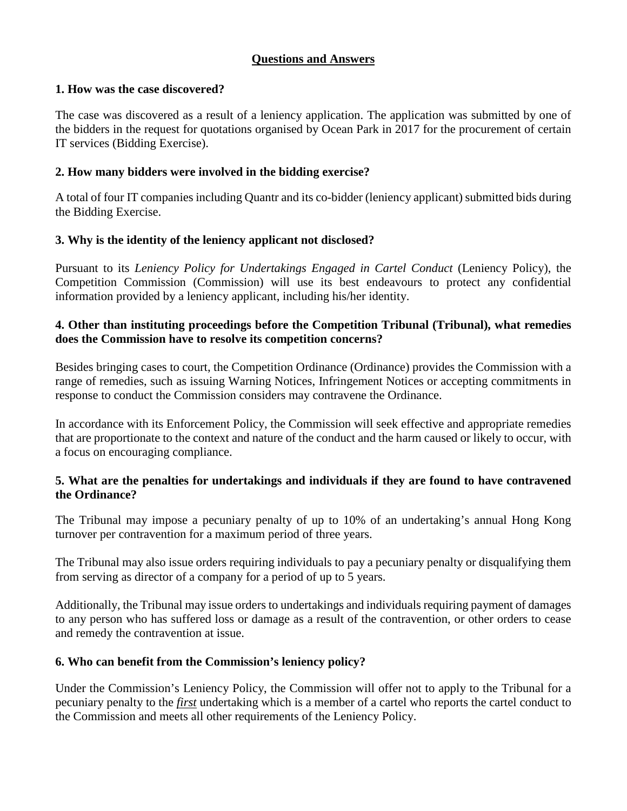## **Questions and Answers**

#### **1. How was the case discovered?**

The case was discovered as a result of a leniency application. The application was submitted by one of the bidders in the request for quotations organised by Ocean Park in 2017 for the procurement of certain IT services (Bidding Exercise).

### **2. How many bidders were involved in the bidding exercise?**

A total of four IT companies including Quantr and its co-bidder (leniency applicant) submitted bids during the Bidding Exercise.

### **3. Why is the identity of the leniency applicant not disclosed?**

Pursuant to its *Leniency Policy for Undertakings Engaged in Cartel Conduct* (Leniency Policy), the Competition Commission (Commission) will use its best endeavours to protect any confidential information provided by a leniency applicant, including his/her identity.

### **4. Other than instituting proceedings before the Competition Tribunal (Tribunal), what remedies does the Commission have to resolve its competition concerns?**

Besides bringing cases to court, the Competition Ordinance (Ordinance) provides the Commission with a range of remedies, such as issuing Warning Notices, Infringement Notices or accepting commitments in response to conduct the Commission considers may contravene the Ordinance.

In accordance with its Enforcement Policy, the Commission will seek effective and appropriate remedies that are proportionate to the context and nature of the conduct and the harm caused or likely to occur, with a focus on encouraging compliance.

#### **5. What are the penalties for undertakings and individuals if they are found to have contravened the Ordinance?**

The Tribunal may impose a pecuniary penalty of up to 10% of an undertaking's annual Hong Kong turnover per contravention for a maximum period of three years.

The Tribunal may also issue orders requiring individuals to pay a pecuniary penalty or disqualifying them from serving as director of a company for a period of up to 5 years.

Additionally, the Tribunal may issue orders to undertakings and individuals requiring payment of damages to any person who has suffered loss or damage as a result of the contravention, or other orders to cease and remedy the contravention at issue.

### **6. Who can benefit from the Commission's leniency policy?**

Under the Commission's Leniency Policy, the Commission will offer not to apply to the Tribunal for a pecuniary penalty to the *first* undertaking which is a member of a cartel who reports the cartel conduct to the Commission and meets all other requirements of the Leniency Policy.